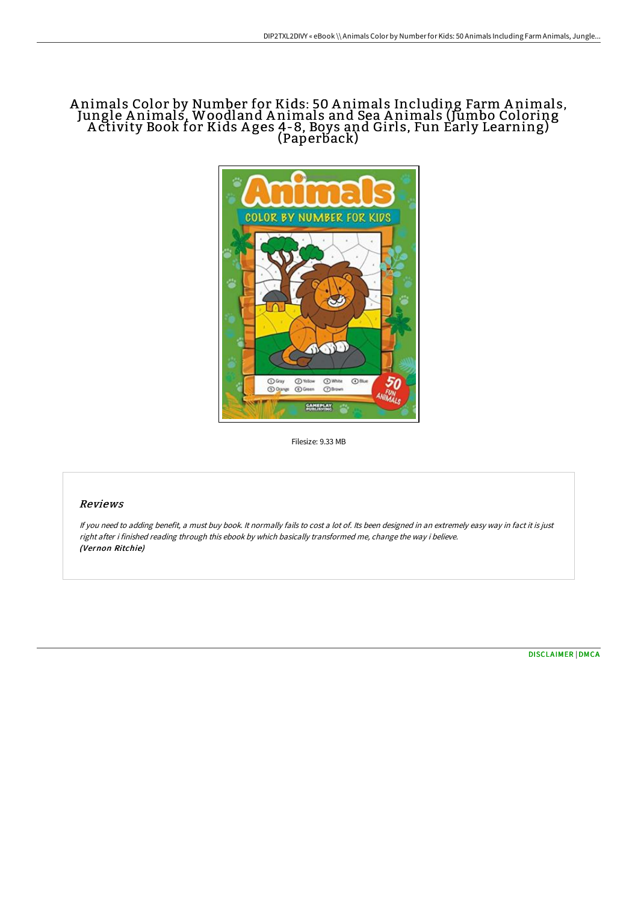# A nimals Color by Number for Kids: 50 A nimals Including Farm A nimals, Jungle A nimals, Woodland A nimals and Sea A nimals (Jumbo Coloring A ctivity Book for Kids A ges 4-8, Boys and Girls, Fun Early Learning) (Paperback)



Filesize: 9.33 MB

## Reviews

If you need to adding benefit, <sup>a</sup> must buy book. It normally fails to cost <sup>a</sup> lot of. Its been designed in an extremely easy way in fact it is just right after i finished reading through this ebook by which basically transformed me, change the way i believe. (Vernon Ritchie)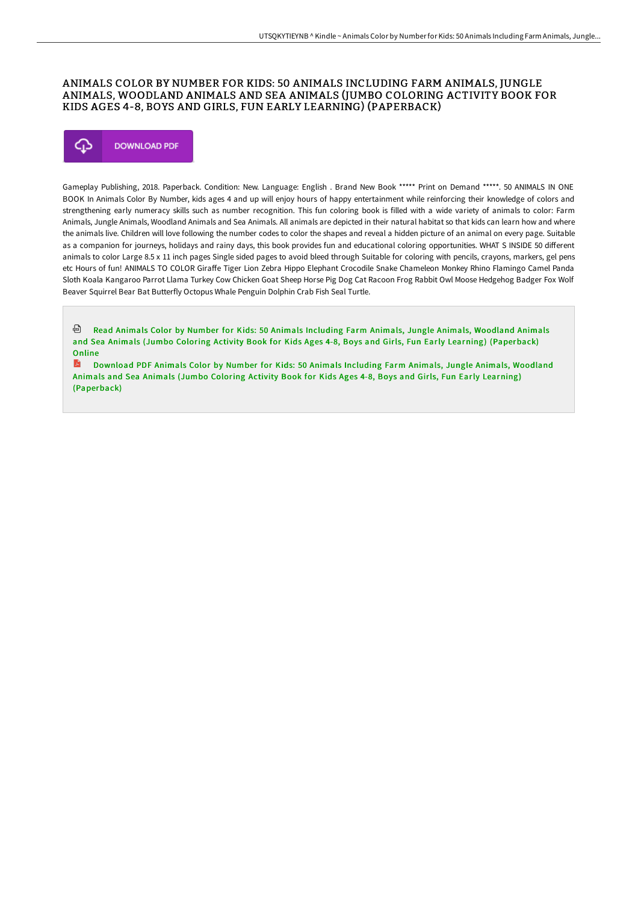### ANIMALS COLOR BY NUMBER FOR KIDS: 50 ANIMALS INCLUDING FARM ANIMALS, JUNGLE ANIMALS, WOODLAND ANIMALS AND SEA ANIMALS (JUMBO COLORING ACTIVITY BOOK FOR KIDS AGES 4-8, BOYS AND GIRLS, FUN EARLY LEARNING) (PAPERBACK)



Gameplay Publishing, 2018. Paperback. Condition: New. Language: English . Brand New Book \*\*\*\*\* Print on Demand \*\*\*\*\*. 50 ANIMALS IN ONE BOOK In Animals Color By Number, kids ages 4 and up will enjoy hours of happy entertainment while reinforcing their knowledge of colors and strengthening early numeracy skills such as number recognition. This fun coloring book is filled with a wide variety of animals to color: Farm Animals, Jungle Animals, Woodland Animals and Sea Animals. All animals are depicted in their natural habitat so that kids can learn how and where the animals live. Children will love following the number codes to color the shapes and reveal a hidden picture of an animal on every page. Suitable as a companion for journeys, holidays and rainy days, this book provides fun and educational coloring opportunities. WHAT S INSIDE 50 different animals to color Large 8.5 x 11 inch pages Single sided pages to avoid bleed through Suitable for coloring with pencils, crayons, markers, gel pens etc Hours of fun! ANIMALS TO COLOR Giraffe Tiger Lion Zebra Hippo Elephant Crocodile Snake Chameleon Monkey Rhino Flamingo Camel Panda Sloth Koala Kangaroo Parrot Llama Turkey Cow Chicken Goat Sheep Horse Pig Dog Cat Racoon Frog Rabbit Owl Moose Hedgehog Badger Fox Wolf Beaver Squirrel Bear Bat Butterfly Octopus Whale Penguin Dolphin Crab Fish Seal Turtle.

Read Animals Color by Number for Kids: 50 Animals Including Farm Animals, Jungle Animals, Woodland Animals and Sea Animals (Jumbo Coloring Activity Book for Kids Ages 4-8, Boys and Girls, Fun Early Learning) [\(Paperback\)](http://www.bookdirs.com/animals-color-by-number-for-kids-50-animals-incl.html) Online

R Download PDF Animals Color by Number for Kids: 50 Animals Including Farm Animals, Jungle Animals, Woodland Animals and Sea Animals (Jumbo Coloring Activity Book for Kids Ages 4-8, Boys and Girls, Fun Early Learning) [\(Paperback\)](http://www.bookdirs.com/animals-color-by-number-for-kids-50-animals-incl.html)